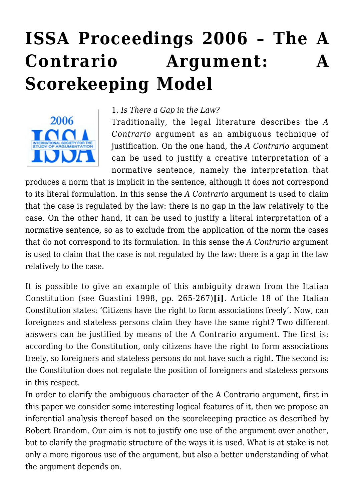# **[ISSA Proceedings 2006 – The A](https://rozenbergquarterly.com/issa-proceedings-2006-the-a-contrario-argument-a-scorekeeping-model-2/) [Contrario Argument: A](https://rozenbergquarterly.com/issa-proceedings-2006-the-a-contrario-argument-a-scorekeeping-model-2/) [Scorekeeping Model](https://rozenbergquarterly.com/issa-proceedings-2006-the-a-contrario-argument-a-scorekeeping-model-2/)**



#### 1. *Is There a Gap in the Law?*

Traditionally, the legal literature describes the *A Contrario* argument as an ambiguous technique of justification. On the one hand, the *A Contrario* argument can be used to justify a creative interpretation of a normative sentence, namely the interpretation that

produces a norm that is implicit in the sentence, although it does not correspond to its literal formulation. In this sense the *A Contrario* argument is used to claim that the case is regulated by the law: there is no gap in the law relatively to the case. On the other hand, it can be used to justify a literal interpretation of a normative sentence, so as to exclude from the application of the norm the cases that do not correspond to its formulation. In this sense the *A Contrario* argument is used to claim that the case is not regulated by the law: there is a gap in the law relatively to the case.

It is possible to give an example of this ambiguity drawn from the Italian Constitution (see Guastini 1998, pp. 265-267)**[i]**. Article 18 of the Italian Constitution states: 'Citizens have the right to form associations freely'. Now, can foreigners and stateless persons claim they have the same right? Two different answers can be justified by means of the A Contrario argument. The first is: according to the Constitution, only citizens have the right to form associations freely, so foreigners and stateless persons do not have such a right. The second is: the Constitution does not regulate the position of foreigners and stateless persons in this respect.

In order to clarify the ambiguous character of the A Contrario argument, first in this paper we consider some interesting logical features of it, then we propose an inferential analysis thereof based on the scorekeeping practice as described by Robert Brandom. Our aim is not to justify one use of the argument over another, but to clarify the pragmatic structure of the ways it is used. What is at stake is not only a more rigorous use of the argument, but also a better understanding of what the argument depends on.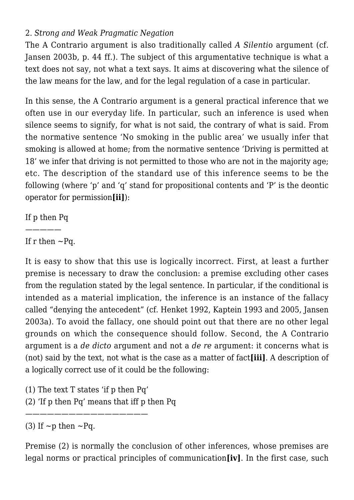## 2. *Strong and Weak Pragmatic Negation*

The A Contrario argument is also traditionally called *A Silenti*o argument (cf. Jansen 2003b, p. 44 ff.). The subject of this argumentative technique is what a text does not say, not what a text says. It aims at discovering what the silence of the law means for the law, and for the legal regulation of a case in particular.

In this sense, the A Contrario argument is a general practical inference that we often use in our everyday life. In particular, such an inference is used when silence seems to signify, for what is not said, the contrary of what is said. From the normative sentence 'No smoking in the public area' we usually infer that smoking is allowed at home; from the normative sentence 'Driving is permitted at 18' we infer that driving is not permitted to those who are not in the majority age; etc. The description of the standard use of this inference seems to be the following (where 'p' and 'q' stand for propositional contents and 'P' is the deontic operator for permission**[ii]**):

If p then Pq

—————

If r then  $\sim$ Pq.

It is easy to show that this use is logically incorrect. First, at least a further premise is necessary to draw the conclusion: a premise excluding other cases from the regulation stated by the legal sentence. In particular, if the conditional is intended as a material implication, the inference is an instance of the fallacy called "denying the antecedent" (cf. Henket 1992, Kaptein 1993 and 2005, Jansen 2003a). To avoid the fallacy, one should point out that there are no other legal grounds on which the consequence should follow. Second, the A Contrario argument is a *de dicto* argument and not a *de re* argument: it concerns what is (not) said by the text, not what is the case as a matter of fact**[iii]**. A description of a logically correct use of it could be the following:

(1) The text T states 'if p then Pq'

—————————————————

(2) 'If p then Pq' means that iff p then Pq

(3) If  $\sim p$  then  $\sim$ Pq.

Premise (2) is normally the conclusion of other inferences, whose premises are legal norms or practical principles of communication**[iv]**. In the first case, such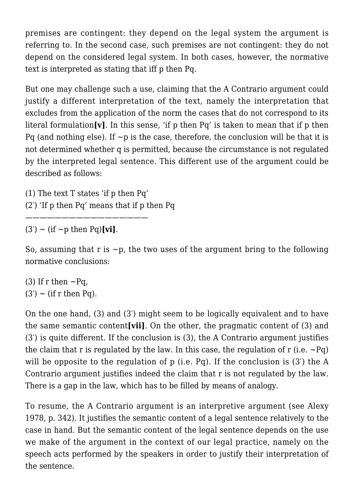premises are contingent: they depend on the legal system the argument is referring to. In the second case, such premises are not contingent: they do not depend on the considered legal system. In both cases, however, the normative text is interpreted as stating that iff p then Pq.

But one may challenge such a use, claiming that the A Contrario argument could justify a different interpretation of the text, namely the interpretation that excludes from the application of the norm the cases that do not correspond to its literal formulation**[v]**. In this sense, 'if p then Pq' is taken to mean that if p then Pq (and nothing else). If  $\neg p$  is the case, therefore, the conclusion will be that it is not determined whether q is permitted, because the circumstance is not regulated by the interpreted legal sentence. This different use of the argument could be described as follows:

(1) The text T states 'if p then Pq' (2′) 'If p then Pq' means that if p then Pq

—————————————————

 $(3') \sim (if \sim p \text{ then } PQ)[vi].$ 

So, assuming that r is  $\neg p$ , the two uses of the argument bring to the following normative conclusions:

(3) If r then  $\sim$ Pq,  $(3') \sim$  (if r then Pq).

On the one hand, (3) and (3′) might seem to be logically equivalent and to have the same semantic content**[vii]**. On the other, the pragmatic content of (3) and (3′) is quite different. If the conclusion is (3), the A Contrario argument justifies the claim that r is regulated by the law. In this case, the regulation of r (i.e.  $\sim$ Pq) will be opposite to the regulation of p (i.e. Pq). If the conclusion is (3<sup>'</sup>) the A Contrario argument justifies indeed the claim that r is not regulated by the law. There is a gap in the law, which has to be filled by means of analogy.

To resume, the A Contrario argument is an interpretive argument (see Alexy 1978, p. 342). It justifies the semantic content of a legal sentence relatively to the case in hand. But the semantic content of the legal sentence depends on the use we make of the argument in the context of our legal practice, namely on the speech acts performed by the speakers in order to justify their interpretation of the sentence.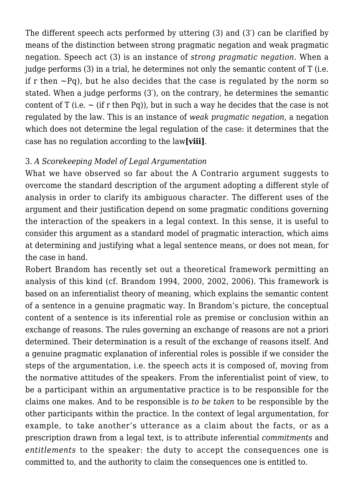The different speech acts performed by uttering (3) and (3′) can be clarified by means of the distinction between strong pragmatic negation and weak pragmatic negation. Speech act (3) is an instance of *strong pragmatic negation*. When a judge performs  $(3)$  in a trial, he determines not only the semantic content of T (i.e. if r then  $\sim$ Pq), but he also decides that the case is regulated by the norm so stated. When a judge performs (3′), on the contrary, he determines the semantic content of T (i.e.  $\sim$  (if r then Pq)), but in such a way he decides that the case is not regulated by the law. This is an instance of *weak pragmatic negation*, a negation which does not determine the legal regulation of the case: it determines that the case has no regulation according to the law**[viii]**.

#### 3. *A Scorekeeping Model of Legal Argumentation*

What we have observed so far about the A Contrario argument suggests to overcome the standard description of the argument adopting a different style of analysis in order to clarify its ambiguous character. The different uses of the argument and their justification depend on some pragmatic conditions governing the interaction of the speakers in a legal context. In this sense, it is useful to consider this argument as a standard model of pragmatic interaction, which aims at determining and justifying what a legal sentence means, or does not mean, for the case in hand.

Robert Brandom has recently set out a theoretical framework permitting an analysis of this kind (cf. Brandom 1994, 2000, 2002, 2006). This framework is based on an inferentialist theory of meaning, which explains the semantic content of a sentence in a genuine pragmatic way. In Brandom's picture, the conceptual content of a sentence is its inferential role as premise or conclusion within an exchange of reasons. The rules governing an exchange of reasons are not a priori determined. Their determination is a result of the exchange of reasons itself. And a genuine pragmatic explanation of inferential roles is possible if we consider the steps of the argumentation, i.e. the speech acts it is composed of, moving from the normative attitudes of the speakers. From the inferentialist point of view, to be a participant within an argumentative practice is to be responsible for the claims one makes. And to be responsible is *to be taken* to be responsible by the other participants within the practice. In the context of legal argumentation, for example, to take another's utterance as a claim about the facts, or as a prescription drawn from a legal text, is to attribute inferential *commitments* and *entitlements* to the speaker: the duty to accept the consequences one is committed to, and the authority to claim the consequences one is entitled to.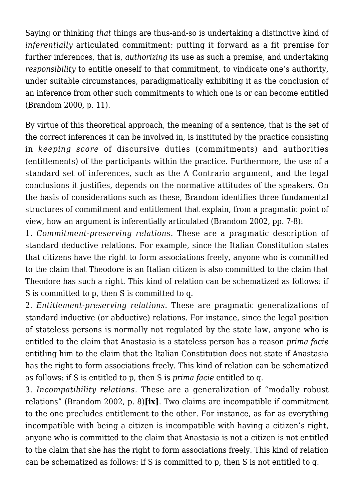Saying or thinking *that* things are thus-and-so is undertaking a distinctive kind of *inferentially* articulated commitment: putting it forward as a fit premise for further inferences, that is, *authorizing* its use as such a premise, and undertaking *responsibility* to entitle oneself to that commitment, to vindicate one's authority, under suitable circumstances, paradigmatically exhibiting it as the conclusion of an inference from other such commitments to which one is or can become entitled (Brandom 2000, p. 11).

By virtue of this theoretical approach, the meaning of a sentence, that is the set of the correct inferences it can be involved in, is instituted by the practice consisting in *keeping score* of discursive duties (commitments) and authorities (entitlements) of the participants within the practice. Furthermore, the use of a standard set of inferences, such as the A Contrario argument, and the legal conclusions it justifies, depends on the normative attitudes of the speakers. On the basis of considerations such as these, Brandom identifies three fundamental structures of commitment and entitlement that explain, from a pragmatic point of view, how an argument is inferentially articulated (Brandom 2002, pp. 7-8):

1. *Commitment-preserving relations*. These are a pragmatic description of standard deductive relations. For example, since the Italian Constitution states that citizens have the right to form associations freely, anyone who is committed to the claim that Theodore is an Italian citizen is also committed to the claim that Theodore has such a right. This kind of relation can be schematized as follows: if S is committed to p, then S is committed to q.

2. *Entitlement-preserving relations.* These are pragmatic generalizations of standard inductive (or abductive) relations. For instance, since the legal position of stateless persons is normally not regulated by the state law, anyone who is entitled to the claim that Anastasia is a stateless person has a reason *prima facie* entitling him to the claim that the Italian Constitution does not state if Anastasia has the right to form associations freely. This kind of relation can be schematized as follows: if S is entitled to p, then S is *prima facie* entitled to q.

3. *Incompatibility relations.* These are a generalization of "modally robust relations" (Brandom 2002, p. 8)**[ix]**. Two claims are incompatible if commitment to the one precludes entitlement to the other. For instance, as far as everything incompatible with being a citizen is incompatible with having a citizen's right, anyone who is committed to the claim that Anastasia is not a citizen is not entitled to the claim that she has the right to form associations freely. This kind of relation can be schematized as follows: if S is committed to p, then S is not entitled to q.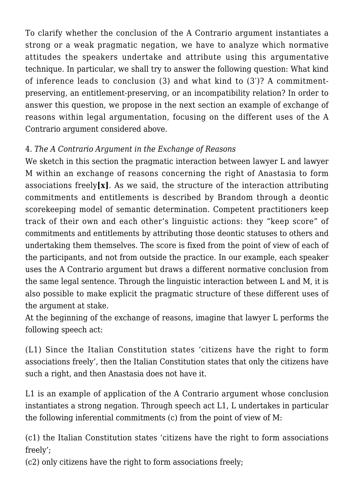To clarify whether the conclusion of the A Contrario argument instantiates a strong or a weak pragmatic negation, we have to analyze which normative attitudes the speakers undertake and attribute using this argumentative technique. In particular, we shall try to answer the following question: What kind of inference leads to conclusion (3) and what kind to (3′)? A commitmentpreserving, an entitlement-preserving, or an incompatibility relation? In order to answer this question, we propose in the next section an example of exchange of reasons within legal argumentation, focusing on the different uses of the A Contrario argument considered above.

# 4. *The A Contrario Argument in the Exchange of Reasons*

We sketch in this section the pragmatic interaction between lawyer L and lawyer M within an exchange of reasons concerning the right of Anastasia to form associations freely**[x]**. As we said, the structure of the interaction attributing commitments and entitlements is described by Brandom through a deontic scorekeeping model of semantic determination. Competent practitioners keep track of their own and each other's linguistic actions: they "keep score" of commitments and entitlements by attributing those deontic statuses to others and undertaking them themselves. The score is fixed from the point of view of each of the participants, and not from outside the practice. In our example, each speaker uses the A Contrario argument but draws a different normative conclusion from the same legal sentence. Through the linguistic interaction between L and M, it is also possible to make explicit the pragmatic structure of these different uses of the argument at stake.

At the beginning of the exchange of reasons, imagine that lawyer L performs the following speech act:

(L1) Since the Italian Constitution states 'citizens have the right to form associations freely', then the Italian Constitution states that only the citizens have such a right, and then Anastasia does not have it.

L1 is an example of application of the A Contrario argument whose conclusion instantiates a strong negation. Through speech act L1, L undertakes in particular the following inferential commitments (c) from the point of view of M:

(c1) the Italian Constitution states 'citizens have the right to form associations freely';

(c2) only citizens have the right to form associations freely;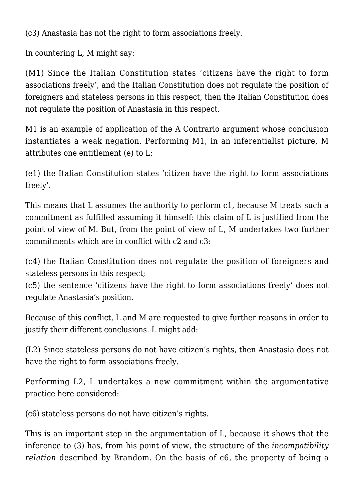(c3) Anastasia has not the right to form associations freely.

In countering L, M might say:

(M1) Since the Italian Constitution states 'citizens have the right to form associations freely', and the Italian Constitution does not regulate the position of foreigners and stateless persons in this respect, then the Italian Constitution does not regulate the position of Anastasia in this respect.

M1 is an example of application of the A Contrario argument whose conclusion instantiates a weak negation. Performing M1, in an inferentialist picture, M attributes one entitlement (e) to L:

(e1) the Italian Constitution states 'citizen have the right to form associations freely'.

This means that L assumes the authority to perform c1, because M treats such a commitment as fulfilled assuming it himself: this claim of L is justified from the point of view of M. But, from the point of view of L, M undertakes two further commitments which are in conflict with c2 and c3:

(c4) the Italian Constitution does not regulate the position of foreigners and stateless persons in this respect;

(c5) the sentence 'citizens have the right to form associations freely' does not regulate Anastasia's position.

Because of this conflict, L and M are requested to give further reasons in order to justify their different conclusions. L might add:

(L2) Since stateless persons do not have citizen's rights, then Anastasia does not have the right to form associations freely.

Performing L2, L undertakes a new commitment within the argumentative practice here considered:

(c6) stateless persons do not have citizen's rights.

This is an important step in the argumentation of L, because it shows that the inference to (3) has, from his point of view, the structure of the *incompatibility relation* described by Brandom. On the basis of c6, the property of being a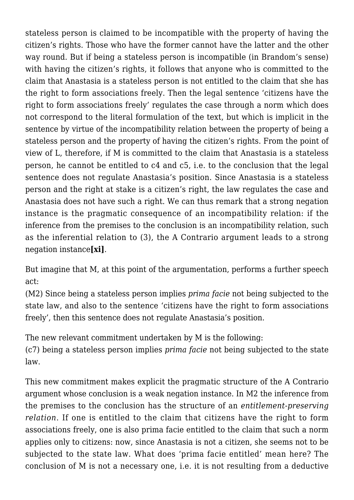stateless person is claimed to be incompatible with the property of having the citizen's rights. Those who have the former cannot have the latter and the other way round. But if being a stateless person is incompatible (in Brandom's sense) with having the citizen's rights, it follows that anyone who is committed to the claim that Anastasia is a stateless person is not entitled to the claim that she has the right to form associations freely. Then the legal sentence 'citizens have the right to form associations freely' regulates the case through a norm which does not correspond to the literal formulation of the text, but which is implicit in the sentence by virtue of the incompatibility relation between the property of being a stateless person and the property of having the citizen's rights. From the point of view of L, therefore, if M is committed to the claim that Anastasia is a stateless person, he cannot be entitled to c4 and c5, i.e. to the conclusion that the legal sentence does not regulate Anastasia's position. Since Anastasia is a stateless person and the right at stake is a citizen's right, the law regulates the case and Anastasia does not have such a right. We can thus remark that a strong negation instance is the pragmatic consequence of an incompatibility relation: if the inference from the premises to the conclusion is an incompatibility relation, such as the inferential relation to (3), the A Contrario argument leads to a strong negation instance**[xi]**.

But imagine that M, at this point of the argumentation, performs a further speech act:

(M2) Since being a stateless person implies *prima facie* not being subjected to the state law, and also to the sentence 'citizens have the right to form associations freely', then this sentence does not regulate Anastasia's position.

The new relevant commitment undertaken by M is the following:

(c7) being a stateless person implies *prima facie* not being subjected to the state law.

This new commitment makes explicit the pragmatic structure of the A Contrario argument whose conclusion is a weak negation instance. In M2 the inference from the premises to the conclusion has the structure of an *entitlement-preserving relation*. If one is entitled to the claim that citizens have the right to form associations freely, one is also prima facie entitled to the claim that such a norm applies only to citizens: now, since Anastasia is not a citizen, she seems not to be subjected to the state law. What does 'prima facie entitled' mean here? The conclusion of M is not a necessary one, i.e. it is not resulting from a deductive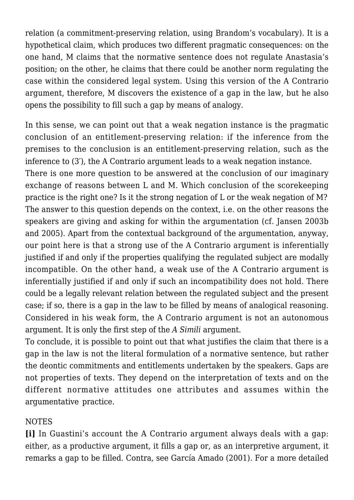relation (a commitment-preserving relation, using Brandom's vocabulary). It is a hypothetical claim, which produces two different pragmatic consequences: on the one hand, M claims that the normative sentence does not regulate Anastasia's position; on the other, he claims that there could be another norm regulating the case within the considered legal system. Using this version of the A Contrario argument, therefore, M discovers the existence of a gap in the law, but he also opens the possibility to fill such a gap by means of analogy.

In this sense, we can point out that a weak negation instance is the pragmatic conclusion of an entitlement-preserving relation: if the inference from the premises to the conclusion is an entitlement-preserving relation, such as the inference to (3′), the A Contrario argument leads to a weak negation instance.

There is one more question to be answered at the conclusion of our imaginary exchange of reasons between L and M. Which conclusion of the scorekeeping practice is the right one? Is it the strong negation of L or the weak negation of M? The answer to this question depends on the context, i.e. on the other reasons the speakers are giving and asking for within the argumentation (cf. Jansen 2003b and 2005). Apart from the contextual background of the argumentation, anyway, our point here is that a strong use of the A Contrario argument is inferentially justified if and only if the properties qualifying the regulated subject are modally incompatible. On the other hand, a weak use of the A Contrario argument is inferentially justified if and only if such an incompatibility does not hold. There could be a legally relevant relation between the regulated subject and the present case; if so, there is a gap in the law to be filled by means of analogical reasoning. Considered in his weak form, the A Contrario argument is not an autonomous argument. It is only the first step of the *A Simili* argument.

To conclude, it is possible to point out that what justifies the claim that there is a gap in the law is not the literal formulation of a normative sentence, but rather the deontic commitments and entitlements undertaken by the speakers. Gaps are not properties of texts. They depend on the interpretation of texts and on the different normative attitudes one attributes and assumes within the argumentative practice.

#### NOTES

**[i]** In Guastini's account the A Contrario argument always deals with a gap: either, as a productive argument, it fills a gap or, as an interpretive argument, it remarks a gap to be filled. Contra, see García Amado (2001). For a more detailed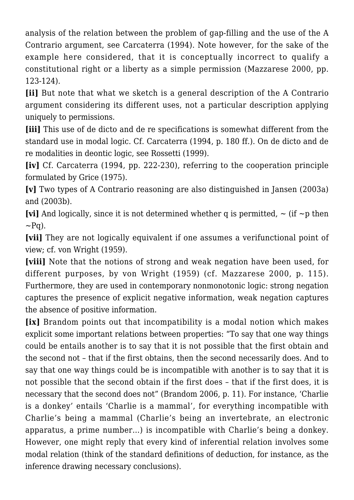analysis of the relation between the problem of gap-filling and the use of the A Contrario argument, see Carcaterra (1994). Note however, for the sake of the example here considered, that it is conceptually incorrect to qualify a constitutional right or a liberty as a simple permission (Mazzarese 2000, pp. 123-124).

**[ii]** But note that what we sketch is a general description of the A Contrario argument considering its different uses, not a particular description applying uniquely to permissions.

**[iii]** This use of de dicto and de re specifications is somewhat different from the standard use in modal logic. Cf. Carcaterra (1994, p. 180 ff.). On de dicto and de re modalities in deontic logic, see Rossetti (1999).

**[iv]** Cf. Carcaterra (1994, pp. 222-230), referring to the cooperation principle formulated by Grice (1975).

**[v]** Two types of A Contrario reasoning are also distinguished in Jansen (2003a) and (2003b).

**[vi]** And logically, since it is not determined whether q is permitted,  $\sim$  (if  $\sim$  p then  $\sim$ Pq).

**[vii]** They are not logically equivalent if one assumes a verifunctional point of view; cf. von Wright (1959).

**[viii]** Note that the notions of strong and weak negation have been used, for different purposes, by von Wright (1959) (cf. Mazzarese 2000, p. 115). Furthermore, they are used in contemporary nonmonotonic logic: strong negation captures the presence of explicit negative information, weak negation captures the absence of positive information.

**[ix]** Brandom points out that incompatibility is a modal notion which makes explicit some important relations between properties: "To say that one way things could be entails another is to say that it is not possible that the first obtain and the second not – that if the first obtains, then the second necessarily does. And to say that one way things could be is incompatible with another is to say that it is not possible that the second obtain if the first does – that if the first does, it is necessary that the second does not" (Brandom 2006, p. 11). For instance, 'Charlie is a donkey' entails 'Charlie is a mammal', for everything incompatible with Charlie's being a mammal (Charlie's being an invertebrate, an electronic apparatus, a prime number…) is incompatible with Charlie's being a donkey. However, one might reply that every kind of inferential relation involves some modal relation (think of the standard definitions of deduction, for instance, as the inference drawing necessary conclusions).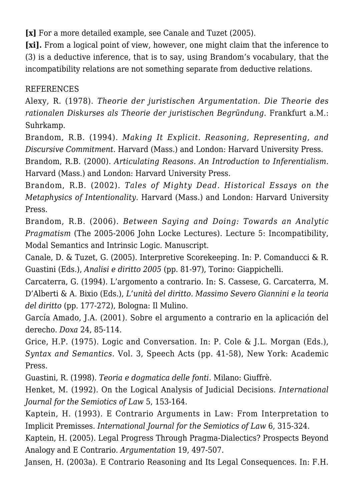**[x]** For a more detailed example, see Canale and Tuzet (2005).

**[xi].** From a logical point of view, however, one might claim that the inference to (3) is a deductive inference, that is to say, using Brandom's vocabulary, that the incompatibility relations are not something separate from deductive relations.

### REFERENCES

Alexy, R. (1978). *Theorie der juristischen Argumentation. Die Theorie des rationalen Diskurses als Theorie der juristischen Begründung*. Frankfurt a.M.: Suhrkamp.

Brandom, R.B. (1994). *Making It Explicit. Reasoning, Representing, and Discursive Commitment.* Harvard (Mass.) and London: Harvard University Press.

Brandom, R.B. (2000). *Articulating Reasons. An Introduction to Inferentialism.* Harvard (Mass.) and London: Harvard University Press.

Brandom, R.B. (2002). *Tales of Mighty Dead. Historical Essays on the Metaphysics of Intentionality*. Harvard (Mass.) and London: Harvard University Press.

Brandom, R.B. (2006). *Between Saying and Doing: Towards an Analytic Pragmatism* (The 2005-2006 John Locke Lectures). Lecture 5: Incompatibility, Modal Semantics and Intrinsic Logic. Manuscript.

Canale, D. & Tuzet, G. (2005). Interpretive Scorekeeping. In: P. Comanducci & R. Guastini (Eds.), *Analisi e diritto 2005* (pp. 81-97), Torino: Giappichelli.

Carcaterra, G. (1994). L'argomento a contrario. In: S. Cassese, G. Carcaterra, M. D'Alberti & A. Bixio (Eds.), *L'unità del diritto. Massimo Severo Giannini e la teoria del diritto* (pp. 177-272), Bologna: Il Mulino.

García Amado, J.A. (2001). Sobre el argumento a contrario en la aplicación del derecho. *Doxa* 24, 85-114.

Grice, H.P. (1975). Logic and Conversation. In: P. Cole & J.L. Morgan (Eds.), *Syntax and Semantics.* Vol. 3, Speech Acts (pp. 41-58), New York: Academic Press.

Guastini, R. (1998). *Teoria e dogmatica delle fonti.* Milano: Giuffrè.

Henket, M. (1992). On the Logical Analysis of Judicial Decisions. *International Journal for the Semiotics of Law* 5, 153-164.

Kaptein, H. (1993). E Contrario Arguments in Law: From Interpretation to Implicit Premisses. *International Journal for the Semiotics of Law* 6, 315-324.

Kaptein, H. (2005). Legal Progress Through Pragma-Dialectics? Prospects Beyond Analogy and E Contrario. *Argumentation* 19, 497-507.

Jansen, H. (2003a). E Contrario Reasoning and Its Legal Consequences. In: F.H.